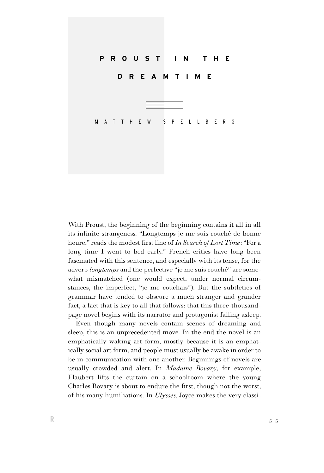

With Proust, the beginning of the beginning contains it all in all its infinite strangeness. ''Longtemps je me suis couché de bonne heure,'' reads the modest first line of *In Search of Lost Time*: ''For a long time I went to bed early.'' French critics have long been fascinated with this sentence, and especially with its tense, for the adverb *longtemps* and the perfective "je me suis couché" are somewhat mismatched (one would expect, under normal circumstances, the imperfect, ''je me couchais''). But the subtleties of grammar have tended to obscure a much stranger and grander fact, a fact that is key to all that follows: that this three-thousandpage novel begins with its narrator and protagonist falling asleep.

Even though many novels contain scenes of dreaming and sleep, this is an unprecedented move. In the end the novel is an emphatically waking art form, mostly because it is an emphatically social art form, and people must usually be awake in order to be in communication with one another. Beginnings of novels are usually crowded and alert. In *Madame Bovary,* for example, Flaubert lifts the curtain on a schoolroom where the young Charles Bovary is about to endure the first, though not the worst, of his many humiliations. In *Ulysses,* Joyce makes the very classi-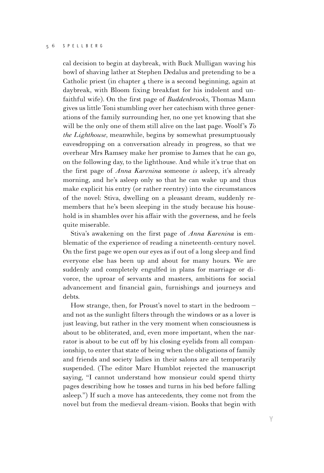cal decision to begin at daybreak, with Buck Mulligan waving his bowl of shaving lather at Stephen Dedalus and pretending to be a Catholic priest (in chapter 4 there is a second beginning, again at daybreak, with Bloom fixing breakfast for his indolent and unfaithful wife). On the first page of *Buddenbrooks,* Thomas Mann gives us little Toni stumbling over her catechism with three generations of the family surrounding her, no one yet knowing that she will be the only one of them still alive on the last page. Woolf's *To the Lighthouse,* meanwhile, begins by somewhat presumptuously eavesdropping on a conversation already in progress, so that we overhear Mrs Ramsey make her promise to James that he can go, on the following day, to the lighthouse. And while it's true that on the first page of *Anna Karenina* someone *is* asleep, it's already morning, and he's asleep only so that he can wake up and thus make explicit his entry (or rather reentry) into the circumstances of the novel: Stiva, dwelling on a pleasant dream, suddenly remembers that he's been sleeping in the study because his household is in shambles over his affair with the governess, and he feels quite miserable.

Stiva's awakening on the first page of *Anna Karenina* is emblematic of the experience of reading a nineteenth-century novel. On the first page we open our eyes as if out of a long sleep and find everyone else has been up and about for many hours. We are suddenly and completely engulfed in plans for marriage or divorce, the uproar of servants and masters, ambitions for social advancement and financial gain, furnishings and journeys and debts.

How strange, then, for Proust's novel to start in the bedroom – and not as the sunlight filters through the windows or as a lover is just leaving, but rather in the very moment when consciousness is about to be obliterated, and, even more important, when the narrator is about to be cut off by his closing eyelids from all companionship, to enter that state of being when the obligations of family and friends and society ladies in their salons are all temporarily suspended. (The editor Marc Humblot rejected the manuscript saying, "I cannot understand how monsieur could spend thirty pages describing how he tosses and turns in his bed before falling asleep.'') If such a move has antecedents, they come not from the novel but from the medieval dream-vision. Books that begin with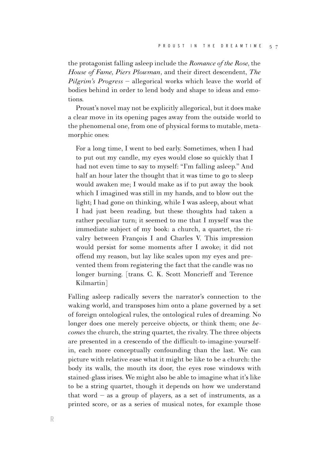the protagonist falling asleep include the *Romance of the Rose,* the *House of Fame, Piers Plowman,* and their direct descendent, *The Pilgrim's Progress* – allegorical works which leave the world of bodies behind in order to lend body and shape to ideas and emotions.

Proust's novel may not be explicitly allegorical, but it does make a clear move in its opening pages away from the outside world to the phenomenal one, from one of physical forms to mutable, metamorphic ones:

For a long time, I went to bed early. Sometimes, when I had to put out my candle, my eyes would close so quickly that I had not even time to say to myself: "I'm falling asleep." And half an hour later the thought that it was time to go to sleep would awaken me; I would make as if to put away the book which I imagined was still in my hands, and to blow out the light; I had gone on thinking, while I was asleep, about what I had just been reading, but these thoughts had taken a rather peculiar turn; it seemed to me that I myself was the immediate subject of my book: a church, a quartet, the rivalry between François I and Charles V. This impression would persist for some moments after I awoke; it did not offend my reason, but lay like scales upon my eyes and prevented them from registering the fact that the candle was no longer burning. [trans. C. K. Scott Moncrieff and Terence Kilmartin]

Falling asleep radically severs the narrator's connection to the waking world, and transposes him onto a plane governed by a set of foreign ontological rules, the ontological rules of dreaming. No longer does one merely perceive objects, or think them; one *becomes* the church, the string quartet, the rivalry. The three objects are presented in a crescendo of the difficult-to-imagine-yourselfin, each more conceptually confounding than the last. We can picture with relative ease what it might be like to be a church: the body its walls, the mouth its door, the eyes rose windows with stained-glass irises. We might also be able to imagine what it's like to be a string quartet, though it depends on how we understand that word  $-$  as a group of players, as a set of instruments, as a printed score, or as a series of musical notes, for example those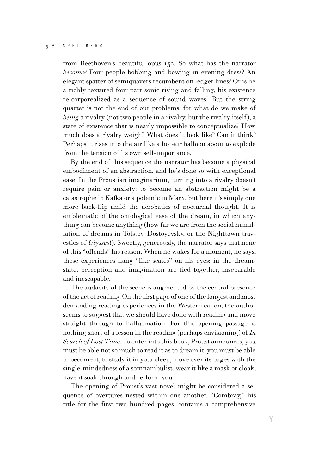from Beethoven's beautiful opus 132. So what has the narrator *become?* Four people bobbing and bowing in evening dress? An elegant spatter of semiquavers recumbent on ledger lines? Or is he a richly textured four-part sonic rising and falling, his existence re-corporealized as a sequence of sound waves? But the string quartet is not the end of our problems, for what do we make of *being* a rivalry (not two people in a rivalry, but the rivalry itself), a state of existence that is nearly impossible to conceptualize? How much does a rivalry weigh? What does it look like? Can it think? Perhaps it rises into the air like a hot-air balloon about to explode from the tension of its own self-importance.

By the end of this sequence the narrator has become a physical embodiment of an abstraction, and he's done so with exceptional ease. In the Proustian imaginarium, turning into a rivalry doesn't require pain or anxiety: to become an abstraction might be a catastrophe in Kafka or a polemic in Marx, but here it's simply one more back-flip amid the acrobatics of nocturnal thought. It is emblematic of the ontological ease of the dream, in which anything can become anything (how far we are from the social humiliation of dreams in Tolstoy, Dostoyevsky, or the Nighttown travesties of *Ulysses*!). Sweetly, generously, the narrator says that none of this "offends" his reason. When he wakes for a moment, he says, these experiences hang ''like scales'' on his eyes: in the dreamstate, perception and imagination are tied together, inseparable and inescapable.

The audacity of the scene is augmented by the central presence of the act of reading. On the first page of one of the longest and most demanding reading experiences in the Western canon, the author seems to suggest that we should have done with reading and move straight through to hallucination. For this opening passage is nothing short of a lesson in the reading (perhaps envisioning) of *In Search of Lost Time.* To enter into this book, Proust announces, you must be able not so much to read it as to dream it; you must be able to become it, to study it in your sleep, move over its pages with the single-mindedness of a somnambulist, wear it like a mask or cloak, have it soak through and re-form you.

The opening of Proust's vast novel might be considered a sequence of overtures nested within one another. "Combray," his title for the first two hundred pages, contains a comprehensive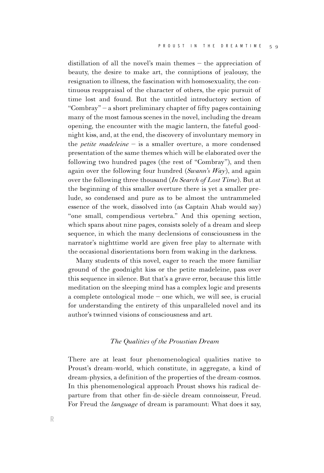distillation of all the novel's main themes – the appreciation of beauty, the desire to make art, the conniptions of jealousy, the resignation to illness, the fascination with homosexuality, the continuous reappraisal of the character of others, the epic pursuit of time lost and found. But the untitled introductory section of "Combray" – a short preliminary chapter of fifty pages containing many of the most famous scenes in the novel, including the dream opening, the encounter with the magic lantern, the fateful goodnight kiss, and, at the end, the discovery of involuntary memory in the *petite madeleine* – is a smaller overture, a more condensed presentation of the same themes which will be elaborated over the following two hundred pages (the rest of ''Combray''), and then again over the following four hundred (*Swann's Way*), and again over the following three thousand (*In Search of Lost Time*). But at the beginning of this smaller overture there is yet a smaller prelude, so condensed and pure as to be almost the untrammeled essence of the work, dissolved into (as Captain Ahab would say) "one small, compendious vertebra." And this opening section, which spans about nine pages, consists solely of a dream and sleep sequence, in which the many declensions of consciousness in the narrator's nighttime world are given free play to alternate with the occasional disorientations born from waking in the darkness.

Many students of this novel, eager to reach the more familiar ground of the goodnight kiss or the petite madeleine, pass over this sequence in silence. But that's a grave error, because this little meditation on the sleeping mind has a complex logic and presents a complete ontological mode – one which, we will see, is crucial for understanding the entirety of this unparalleled novel and its author's twinned visions of consciousness and art.

## *The Qualities of the Proustian Dream*

There are at least four phenomenological qualities native to Proust's dream-world, which constitute, in aggregate, a kind of dream-physics, a definition of the properties of the dream-cosmos. In this phenomenological approach Proust shows his radical departure from that other fin-de-siècle dream connoisseur, Freud. For Freud the *language* of dream is paramount: What does it say,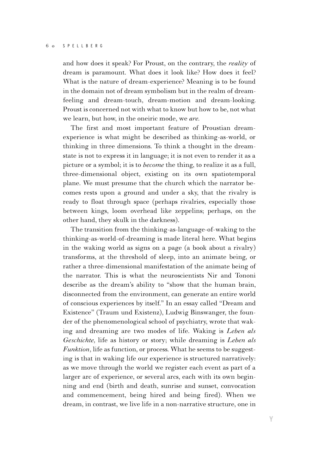and how does it speak? For Proust, on the contrary, the *reality* of dream is paramount. What does it look like? How does it feel? What is the nature of dream-experience? Meaning is to be found in the domain not of dream symbolism but in the realm of dreamfeeling and dream-touch, dream-motion and dream-looking. Proust is concerned not with what to know but how to be, not what we learn, but how, in the oneiric mode, we *are.*

The first and most important feature of Proustian dreamexperience is what might be described as thinking-as-world, or thinking in three dimensions. To think a thought in the dreamstate is not to express it in language; it is not even to render it as a picture or a symbol; it is to *become* the thing, to realize it as a full, three-dimensional object, existing on its own spatiotemporal plane. We must presume that the church which the narrator becomes rests upon a ground and under a sky, that the rivalry is ready to float through space (perhaps rivalries, especially those between kings, loom overhead like zeppelins; perhaps, on the other hand, they skulk in the darkness).

The transition from the thinking-as-language-of-waking to the thinking-as-world-of-dreaming is made literal here. What begins in the waking world as signs on a page (a book about a rivalry) transforms, at the threshold of sleep, into an animate being, or rather a three-dimensional manifestation of the animate being of the narrator. This is what the neuroscientists Nir and Tononi describe as the dream's ability to ''show that the human brain, disconnected from the environment, can generate an entire world of conscious experiences by itself.'' In an essay called ''Dream and Existence'' (Traum und Existenz), Ludwig Binswanger, the founder of the phenomenological school of psychiatry, wrote that waking and dreaming are two modes of life. Waking is *Leben als Geschichte,* life as history or story; while dreaming is *Leben als Funktion*, life as function, or process. What he seems to be suggesting is that in waking life our experience is structured narratively: as we move through the world we register each event as part of a larger arc of experience, or several arcs, each with its own beginning and end (birth and death, sunrise and sunset, convocation and commencement, being hired and being fired). When we dream, in contrast, we live life in a non-narrative structure, one in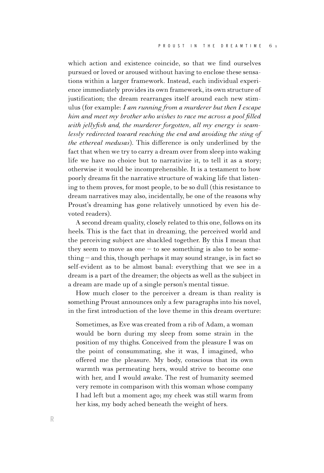which action and existence coincide, so that we find ourselves pursued or loved or aroused without having to enclose these sensations within a larger framework. Instead, each individual experience immediately provides its own framework, its own structure of justification; the dream rearranges itself around each new stimulus (for example: *I am running from a murderer but then I escape him and meet my brother who wishes to race me across a pool filled with jellyfish and, the murderer forgotten, all my energy is seamlessly redirected toward reaching the end and avoiding the sting of the ethereal medusas*). This difference is only underlined by the fact that when we try to carry a dream over from sleep into waking life we have no choice but to narrativize it, to tell it as a story; otherwise it would be incomprehensible. It is a testament to how poorly dreams fit the narrative structure of waking life that listening to them proves, for most people, to be so dull (this resistance to dream narratives may also, incidentally, be one of the reasons why Proust's dreaming has gone relatively unnoticed by even his devoted readers).

A second dream quality, closely related to this one, follows on its heels. This is the fact that in dreaming, the perceived world and the perceiving subject are shackled together. By this I mean that they seem to move as one  $-$  to see something is also to be some- $\text{thing}$  – and this, though perhaps it may sound strange, is in fact so self-evident as to be almost banal: everything that we see in a dream is a part of the dreamer; the objects as well as the subject in a dream are made up of a single person's mental tissue.

How much closer to the perceiver a dream is than reality is something Proust announces only a few paragraphs into his novel, in the first introduction of the love theme in this dream overture:

Sometimes, as Eve was created from a rib of Adam, a woman would be born during my sleep from some strain in the position of my thighs. Conceived from the pleasure I was on the point of consummating, she it was, I imagined, who offered me the pleasure. My body, conscious that its own warmth was permeating hers, would strive to become one with her, and I would awake. The rest of humanity seemed very remote in comparison with this woman whose company I had left but a moment ago; my cheek was still warm from her kiss, my body ached beneath the weight of hers.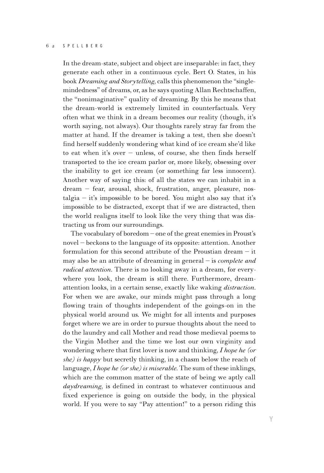In the dream-state, subject and object are inseparable: in fact, they generate each other in a continuous cycle. Bert O. States, in his book *Dreaming and Storytelling,* calls this phenomenon the ''singlemindedness" of dreams, or, as he says quoting Allan Rechtschaffen, the ''nonimaginative'' quality of dreaming. By this he means that the dream-world is extremely limited in counterfactuals. Very often what we think in a dream becomes our reality (though, it's worth saying, not always). Our thoughts rarely stray far from the matter at hand. If the dreamer is taking a test, then she doesn't find herself suddenly wondering what kind of ice cream she'd like to eat when it's over – unless, of course, she then finds herself transported to the ice cream parlor or, more likely, obsessing over the inability to get ice cream (or something far less innocent). Another way of saying this: of all the states we can inhabit in a dream – fear, arousal, shock, frustration, anger, pleasure, nostalgia – it's impossible to be bored. You might also say that it's impossible to be distracted, except that if we are distracted, then the world realigns itself to look like the very thing that was distracting us from our surroundings.

The vocabulary of boredom – one of the great enemies in Proust's novel – beckons to the language of its opposite: attention. Another formulation for this second attribute of the Proustian dream – it may also be an attribute of dreaming in general – is *complete and radical attention.* There is no looking away in a dream, for everywhere you look, the dream is still there. Furthermore, dreamattention looks, in a certain sense, exactly like waking *distraction.* For when we are awake, our minds might pass through a long flowing train of thoughts independent of the goings-on in the physical world around us. We might for all intents and purposes forget where we are in order to pursue thoughts about the need to do the laundry and call Mother and read those medieval poems to the Virgin Mother and the time we lost our own virginity and wondering where that first lover is now and thinking, *I hope he (or she) is happy* but secretly thinking, in a chasm below the reach of language, *I hope he (or she) is miserable.* The sum of these inklings, which are the common matter of the state of being we aptly call *daydreaming,* is defined in contrast to whatever continuous and fixed experience is going on outside the body, in the physical world. If you were to say "Pay attention!" to a person riding this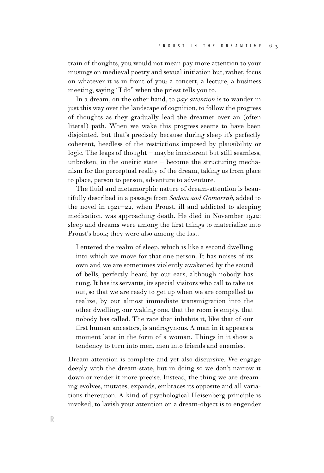train of thoughts, you would not mean pay more attention to your musings on medieval poetry and sexual initiation but, rather, focus on whatever it is in front of you: a concert, a lecture, a business meeting, saying "I do" when the priest tells you to.

In a dream, on the other hand, to *pay attention* is to wander in just this way over the landscape of cognition, to follow the progress of thoughts as they gradually lead the dreamer over an (often literal) path. When we wake this progress seems to have been disjointed, but that's precisely because during sleep it's perfectly coherent, heedless of the restrictions imposed by plausibility or logic. The leaps of thought – maybe incoherent but still seamless, unbroken, in the oneiric state  $-$  become the structuring mechanism for the perceptual reality of the dream, taking us from place to place, person to person, adventure to adventure.

The fluid and metamorphic nature of dream-attention is beautifully described in a passage from *Sodom and Gomorrah,* added to the novel in 1921–22, when Proust, ill and addicted to sleeping medication, was approaching death. He died in November 1922: sleep and dreams were among the first things to materialize into Proust's book; they were also among the last.

I entered the realm of sleep, which is like a second dwelling into which we move for that one person. It has noises of its own and we are sometimes violently awakened by the sound of bells, perfectly heard by our ears, although nobody has rung. It has its servants, its special visitors who call to take us out, so that we are ready to get up when we are compelled to realize, by our almost immediate transmigration into the other dwelling, our waking one, that the room is empty, that nobody has called. The race that inhabits it, like that of our first human ancestors, is androgynous. A man in it appears a moment later in the form of a woman. Things in it show a tendency to turn into men, men into friends and enemies.

Dream-attention is complete and yet also discursive. We engage deeply with the dream-state, but in doing so we don't narrow it down or render it more precise. Instead, the thing we are dreaming evolves, mutates, expands, embraces its opposite and all variations thereupon. A kind of psychological Heisenberg principle is invoked; to lavish your attention on a dream-object is to engender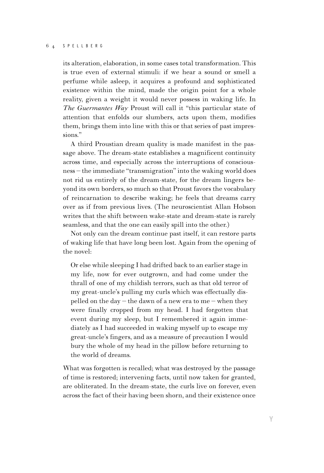its alteration, elaboration, in some cases total transformation. This is true even of external stimuli: if we hear a sound or smell a perfume while asleep, it acquires a profound and sophisticated existence within the mind, made the origin point for a whole reality, given a weight it would never possess in waking life. In *The Guermantes Way* Proust will call it ''this particular state of attention that enfolds our slumbers, acts upon them, modifies them, brings them into line with this or that series of past impressions.''

A third Proustian dream quality is made manifest in the passage above. The dream-state establishes a magnificent continuity across time, and especially across the interruptions of consciousness – the immediate ''transmigration'' into the waking world does not rid us entirely of the dream-state, for the dream lingers beyond its own borders, so much so that Proust favors the vocabulary of reincarnation to describe waking; he feels that dreams carry over as if from previous lives. (The neuroscientist Allan Hobson writes that the shift between wake-state and dream-state is rarely seamless, and that the one can easily spill into the other.)

Not only can the dream continue past itself, it can restore parts of waking life that have long been lost. Again from the opening of the novel:

Or else while sleeping I had drifted back to an earlier stage in my life, now for ever outgrown, and had come under the thrall of one of my childish terrors, such as that old terror of my great-uncle's pulling my curls which was effectually dispelled on the day – the dawn of a new era to me – when they were finally cropped from my head. I had forgotten that event during my sleep, but I remembered it again immediately as I had succeeded in waking myself up to escape my great-uncle's fingers, and as a measure of precaution I would bury the whole of my head in the pillow before returning to the world of dreams.

What was forgotten is recalled; what was destroyed by the passage of time is restored; intervening facts, until now taken for granted, are obliterated. In the dream-state, the curls live on forever, even across the fact of their having been shorn, and their existence once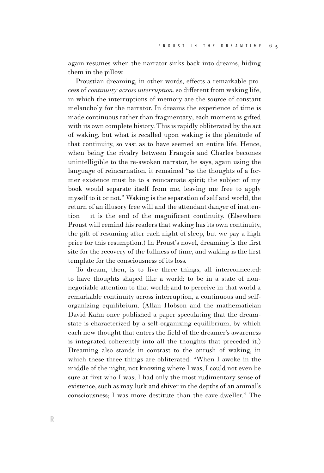again resumes when the narrator sinks back into dreams, hiding them in the pillow.

Proustian dreaming, in other words, effects a remarkable process of *continuity across interruption*, so different from waking life, in which the interruptions of memory are the source of constant melancholy for the narrator. In dreams the experience of time is made continuous rather than fragmentary; each moment is gifted with its own complete history. This is rapidly obliterated by the act of waking, but what is recalled upon waking is the plenitude of that continuity, so vast as to have seemed an entire life. Hence, when being the rivalry between François and Charles becomes unintelligible to the re-awoken narrator, he says, again using the language of reincarnation, it remained "as the thoughts of a former existence must be to a reincarnate spirit; the subject of my book would separate itself from me, leaving me free to apply myself to it or not.'' Waking is the separation of self and world, the return of an illusory free will and the attendant danger of inatten- $\tau$  tion – it is the end of the magnificent continuity. (Elsewhere Proust will remind his readers that waking has its own continuity, the gift of resuming after each night of sleep, but we pay a high price for this resumption.) In Proust's novel, dreaming is the first site for the recovery of the fullness of time, and waking is the first template for the consciousness of its loss.

To dream, then, is to live three things, all interconnected: to have thoughts shaped like a world; to be in a state of nonnegotiable attention to that world; and to perceive in that world a remarkable continuity across interruption, a continuous and selforganizing equilibrium. (Allan Hobson and the mathematician David Kahn once published a paper speculating that the dreamstate is characterized by a self-organizing equilibrium, by which each new thought that enters the field of the dreamer's awareness is integrated coherently into all the thoughts that preceded it.) Dreaming also stands in contrast to the onrush of waking, in which these three things are obliterated. ''When I awoke in the middle of the night, not knowing where I was, I could not even be sure at first who I was; I had only the most rudimentary sense of existence, such as may lurk and shiver in the depths of an animal's consciousness; I was more destitute than the cave-dweller.'' The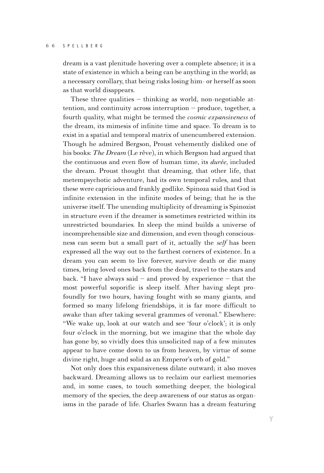dream is a vast plenitude hovering over a complete absence; it is a state of existence in which a being can be anything in the world; as a necessary corollary, that being risks losing him- or herself as soon as that world disappears.

These three qualities  $-$  thinking as world, non-negotiable attention, and continuity across interruption – produce, together, a fourth quality, what might be termed the *cosmic expansiveness* of the dream, its mimesis of infinite time and space. To dream is to exist in a spatial and temporal matrix of unencumbered extension. Though he admired Bergson, Proust vehemently disliked one of his books: *The Dream* (Le rêve), in which Bergson had argued that the continuous and even flow of human time, its *durée,* included the dream. Proust thought that dreaming, that other life, that metempsychotic adventure, had its own temporal rules, and that these were capricious and frankly godlike. Spinoza said that God is infinite extension in the infinite modes of being; that he is the universe itself. The unending multiplicity of dreaming is Spinozist in structure even if the dreamer is sometimes restricted within its unrestricted boundaries. In sleep the mind builds a universe of incomprehensible size and dimension, and even though consciousness can seem but a small part of it, actually the *self* has been expressed all the way out to the farthest corners of existence. In a dream you can seem to live forever, survive death or die many times, bring loved ones back from the dead, travel to the stars and back. "I have always said  $-$  and proved by experience  $-$  that the most powerful soporific is sleep itself. After having slept profoundly for two hours, having fought with so many giants, and formed so many lifelong friendships, it is far more difficult to awake than after taking several grammes of veronal.'' Elsewhere: ''We wake up, look at our watch and see 'four o'clock'; it is only four o'clock in the morning, but we imagine that the whole day has gone by, so vividly does this unsolicited nap of a few minutes appear to have come down to us from heaven, by virtue of some divine right, huge and solid as an Emperor's orb of gold.''

Not only does this expansiveness dilate outward; it also moves backward. Dreaming allows us to reclaim our earliest memories and, in some cases, to touch something deeper, the biological memory of the species, the deep awareness of our status as organisms in the parade of life. Charles Swann has a dream featuring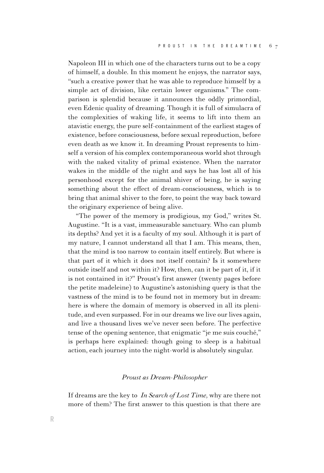Napoleon III in which one of the characters turns out to be a copy of himself, a double. In this moment he enjoys, the narrator says, "such a creative power that he was able to reproduce himself by a simple act of division, like certain lower organisms.'' The comparison is splendid because it announces the oddly primordial, even Edenic quality of dreaming. Though it is full of simulacra of the complexities of waking life, it seems to lift into them an atavistic energy, the pure self-containment of the earliest stages of existence, before consciousness, before sexual reproduction, before even death as we know it. In dreaming Proust represents to himself a version of his complex contemporaneous world shot through with the naked vitality of primal existence. When the narrator wakes in the middle of the night and says he has lost all of his personhood except for the animal shiver of being, he is saying something about the effect of dream-consciousness, which is to bring that animal shiver to the fore, to point the way back toward the originary experience of being alive.

''The power of the memory is prodigious, my God,'' writes St. Augustine. ''It is a vast, immeasurable sanctuary. Who can plumb its depths? And yet it is a faculty of my soul. Although it is part of my nature, I cannot understand all that I am. This means, then, that the mind is too narrow to contain itself entirely. But where is that part of it which it does not itself contain? Is it somewhere outside itself and not within it? How, then, can it be part of it, if it is not contained in it?'' Proust's first answer (twenty pages before the petite madeleine) to Augustine's astonishing query is that the vastness of the mind is to be found not in memory but in dream: here is where the domain of memory is observed in all its plenitude, and even surpassed. For in our dreams we live our lives again, and live a thousand lives we've never seen before. The perfective tense of the opening sentence, that enigmatic ''je me suis couché,'' is perhaps here explained: though going to sleep is a habitual action, each journey into the night-world is absolutely singular.

## *Proust as Dream-Philosopher*

If dreams are the key to *In Search of Lost Time,* why are there not more of them? The first answer to this question is that there are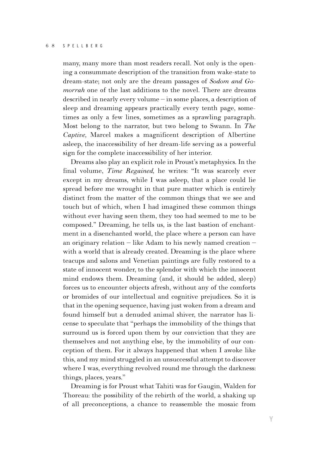many, many more than most readers recall. Not only is the opening a consummate description of the transition from wake-state to dream-state; not only are the dream passages of *Sodom and Gomorrah* one of the last additions to the novel. There are dreams described in nearly every volume – in some places, a description of sleep and dreaming appears practically every tenth page, sometimes as only a few lines, sometimes as a sprawling paragraph. Most belong to the narrator, but two belong to Swann. In *The Captive,* Marcel makes a magnificent description of Albertine asleep, the inaccessibility of her dream-life serving as a powerful sign for the complete inaccessibility of her interior.

Dreams also play an explicit role in Proust's metaphysics. In the final volume, *Time Regained*, he writes: "It was scarcely ever except in my dreams, while I was asleep, that a place could lie spread before me wrought in that pure matter which is entirely distinct from the matter of the common things that we see and touch but of which, when I had imagined these common things without ever having seen them, they too had seemed to me to be composed.'' Dreaming, he tells us, is the last bastion of enchantment in a disenchanted world, the place where a person can have an originary relation – like Adam to his newly named creation – with a world that is already created. Dreaming is the place where teacups and salons and Venetian paintings are fully restored to a state of innocent wonder, to the splendor with which the innocent mind endows them. Dreaming (and, it should be added, sleep) forces us to encounter objects afresh, without any of the comforts or bromides of our intellectual and cognitive prejudices. So it is that in the opening sequence, having just woken from a dream and found himself but a denuded animal shiver, the narrator has license to speculate that ''perhaps the immobility of the things that surround us is forced upon them by our conviction that they are themselves and not anything else, by the immobility of our conception of them. For it always happened that when I awoke like this, and my mind struggled in an unsuccessful attempt to discover where I was, everything revolved round me through the darkness: things, places, years.''

Dreaming is for Proust what Tahiti was for Gaugin, Walden for Thoreau: the possibility of the rebirth of the world, a shaking up of all preconceptions, a chance to reassemble the mosaic from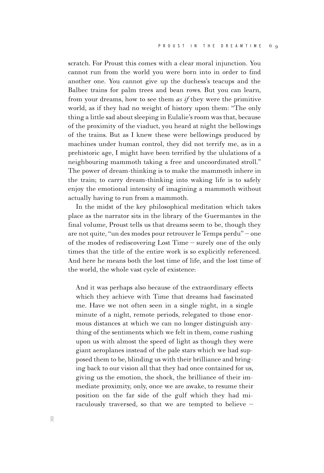scratch. For Proust this comes with a clear moral injunction. You cannot run from the world you were born into in order to find another one. You cannot give up the duchess's teacups and the Balbec trains for palm trees and bean rows. But you can learn, from your dreams, how to see them *as if* they were the primitive world, as if they had no weight of history upon them: ''The only thing a little sad about sleeping in Eulalie's room was that, because of the proximity of the viaduct, you heard at night the bellowings of the trains. But as I knew these were bellowings produced by machines under human control, they did not terrify me, as in a prehistoric age, I might have been terrified by the ululations of a neighbouring mammoth taking a free and uncoordinated stroll.'' The power of dream-thinking is to make the mammoth inhere in the train; to carry dream-thinking into waking life is to safely enjoy the emotional intensity of imagining a mammoth without actually having to run from a mammoth.

In the midst of the key philosophical meditation which takes place as the narrator sits in the library of the Guermantes in the final volume, Proust tells us that dreams seem to be, though they are not quite, ''un des modes pour retrouver le Temps perdu'' – one of the modes of rediscovering Lost Time – surely one of the only times that the title of the entire work is so explicitly referenced. And here he means both the lost time of life, and the lost time of the world, the whole vast cycle of existence:

And it was perhaps also because of the extraordinary effects which they achieve with Time that dreams had fascinated me. Have we not often seen in a single night, in a single minute of a night, remote periods, relegated to those enormous distances at which we can no longer distinguish anything of the sentiments which we felt in them, come rushing upon us with almost the speed of light as though they were giant aeroplanes instead of the pale stars which we had supposed them to be, blinding us with their brilliance and bringing back to our vision all that they had once contained for us, giving us the emotion, the shock, the brilliance of their immediate proximity, only, once we are awake, to resume their position on the far side of the gulf which they had miraculously traversed, so that we are tempted to believe –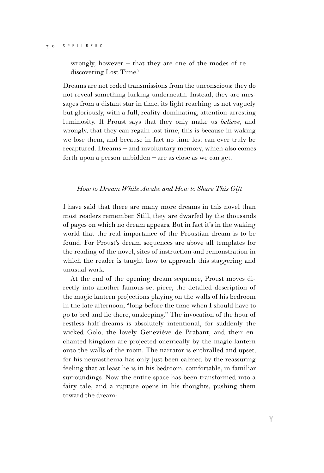wrongly, however – that they are one of the modes of rediscovering Lost Time?

Dreams are not coded transmissions from the unconscious; they do not reveal something lurking underneath. Instead, they are messages from a distant star in time, its light reaching us not vaguely but gloriously, with a full, reality-dominating, attention-arresting luminosity. If Proust says that they only make us *believe,* and wrongly, that they can regain lost time, this is because in waking we lose them, and because in fact no time lost can ever truly be recaptured. Dreams – and involuntary memory, which also comes forth upon a person unbidden – are as close as we can get.

## *How to Dream While Awake and How to Share This Gift*

I have said that there are many more dreams in this novel than most readers remember. Still, they are dwarfed by the thousands of pages on which no dream appears. But in fact it's in the waking world that the real importance of the Proustian dream is to be found. For Proust's dream sequences are above all templates for the reading of the novel, sites of instruction and remonstration in which the reader is taught how to approach this staggering and unusual work.

At the end of the opening dream sequence, Proust moves directly into another famous set-piece, the detailed description of the magic lantern projections playing on the walls of his bedroom in the late afternoon, ''long before the time when I should have to go to bed and lie there, unsleeping.'' The invocation of the hour of restless half-dreams is absolutely intentional, for suddenly the wicked Golo, the lovely Geneviève de Brabant, and their enchanted kingdom are projected oneirically by the magic lantern onto the walls of the room. The narrator is enthralled and upset, for his neurasthenia has only just been calmed by the reassuring feeling that at least he is in his bedroom, comfortable, in familiar surroundings. Now the entire space has been transformed into a fairy tale, and a rupture opens in his thoughts, pushing them toward the dream: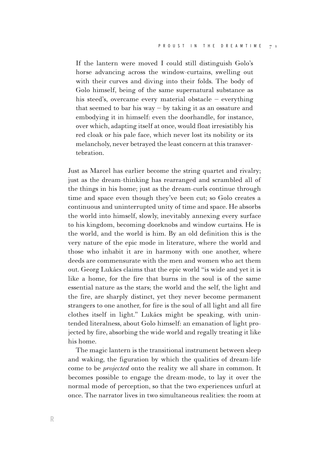If the lantern were moved I could still distinguish Golo's horse advancing across the window-curtains, swelling out with their curves and diving into their folds. The body of Golo himself, being of the same supernatural substance as his steed's, overcame every material obstacle – everything that seemed to bar his way  $-$  by taking it as an ossature and embodying it in himself: even the doorhandle, for instance, over which, adapting itself at once, would float irresistibly his red cloak or his pale face, which never lost its nobility or its melancholy, never betrayed the least concern at this transvertebration.

Just as Marcel has earlier become the string quartet and rivalry; just as the dream-thinking has rearranged and scrambled all of the things in his home; just as the dream-curls continue through time and space even though they've been cut; so Golo creates a continuous and uninterrupted unity of time and space. He absorbs the world into himself, slowly, inevitably annexing every surface to his kingdom, becoming doorknobs and window curtains. He is the world, and the world is him. By an old definition this is the very nature of the epic mode in literature, where the world and those who inhabit it are in harmony with one another, where deeds are commensurate with the men and women who act them out. Georg Lukács claims that the epic world ''is wide and yet it is like a home, for the fire that burns in the soul is of the same essential nature as the stars; the world and the self, the light and the fire, are sharply distinct, yet they never become permanent strangers to one another, for fire is the soul of all light and all fire clothes itself in light.'' Lukács might be speaking, with unintended literalness, about Golo himself: an emanation of light projected by fire, absorbing the wide world and regally treating it like his home.

The magic lantern is the transitional instrument between sleep and waking, the figuration by which the qualities of dream-life come to be *projected* onto the reality we all share in common. It becomes possible to engage the dream-mode, to lay it over the normal mode of perception, so that the two experiences unfurl at once. The narrator lives in two simultaneous realities: the room at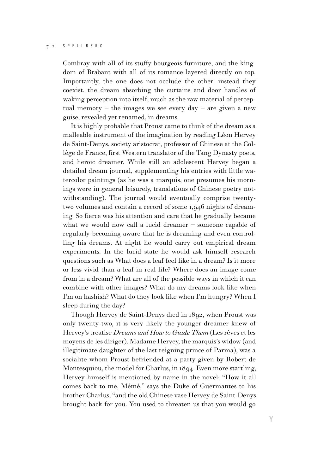Combray with all of its stuffy bourgeois furniture, and the kingdom of Brabant with all of its romance layered directly on top. Importantly, the one does not occlude the other: instead they coexist, the dream absorbing the curtains and door handles of waking perception into itself, much as the raw material of perceptual memory – the images we see every day – are given a new guise, revealed yet renamed, in dreams.

It is highly probable that Proust came to think of the dream as a malleable instrument of the imagination by reading Léon Hervey de Saint-Denys, society aristocrat, professor of Chinese at the Collège de France, first Western translator of the Tang Dynasty poets, and heroic dreamer. While still an adolescent Hervey began a detailed dream journal, supplementing his entries with little watercolor paintings (as he was a marquis, one presumes his mornings were in general leisurely, translations of Chinese poetry notwithstanding). The journal would eventually comprise twentytwo volumes and contain a record of some 1,946 nights of dreaming. So fierce was his attention and care that he gradually became what we would now call a lucid dreamer – someone capable of regularly becoming aware that he is dreaming and even controlling his dreams. At night he would carry out empirical dream experiments. In the lucid state he would ask himself research questions such as What does a leaf feel like in a dream? Is it more or less vivid than a leaf in real life? Where does an image come from in a dream? What are all of the possible ways in which it can combine with other images? What do my dreams look like when I'm on hashish? What do they look like when I'm hungry? When I sleep during the day?

Though Hervey de Saint-Denys died in 1892, when Proust was only twenty-two, it is very likely the younger dreamer knew of Hervey's treatise *Dreams and How to Guide Them* (Les rêves et les moyens de les diriger). Madame Hervey, the marquis's widow (and illegitimate daughter of the last reigning prince of Parma), was a socialite whom Proust befriended at a party given by Robert de Montesquiou, the model for Charlus, in 1894. Even more startling, Hervey himself is mentioned by name in the novel: ''How it all comes back to me, Mémé,'' says the Duke of Guermantes to his brother Charlus, ''and the old Chinese vase Hervey de Saint-Denys brought back for you. You used to threaten us that you would go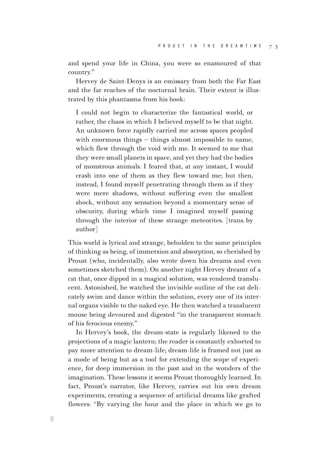and spend your life in China, you were so enamoured of that country.''

Hervey de Saint-Denys is an emissary from both the Far East and the far reaches of the nocturnal brain. Their extent is illustrated by this phantasma from his book:

I could not begin to characterize the fantastical world, or rather, the chaos in which I believed myself to be that night. An unknown force rapidly carried me across spaces peopled with enormous things – things almost impossible to name, which flew through the void with me. It seemed to me that they were small planets in space, and yet they had the bodies of monstrous animals. I feared that, at any instant, I would crash into one of them as they flew toward me; but then, instead, I found myself penetrating through them as if they were mere shadows, without suffering even the smallest shock, without any sensation beyond a momentary sense of obscurity, during which time I imagined myself passing through the interior of these strange meteorites. [trans. by author]

This world is lyrical and strange, beholden to the same principles of thinking as being, of immersion and absorption, so cherished by Proust (who, incidentally, also wrote down his dreams and even sometimes sketched them). On another night Hervey dreamt of a cat that, once dipped in a magical solution, was rendered translucent. Astonished, he watched the invisible outline of the cat delicately swim and dance within the solution, every one of its internal organs visible to the naked eye. He then watched a translucent mouse being devoured and digested ''in the transparent stomach of his ferocious enemy.''

In Hervey's book, the dream-state is regularly likened to the projections of a magic lantern; the reader is constantly exhorted to pay more attention to dream-life; dream-life is framed not just as a mode of being but as a tool for extending the scope of experience, for deep immersion in the past and in the wonders of the imagination. These lessons it seems Proust thoroughly learned. In fact, Proust's narrator, like Hervey, carries out his own dream experiments, creating a sequence of artificial dreams like grafted flowers: ''By varying the hour and the place in which we go to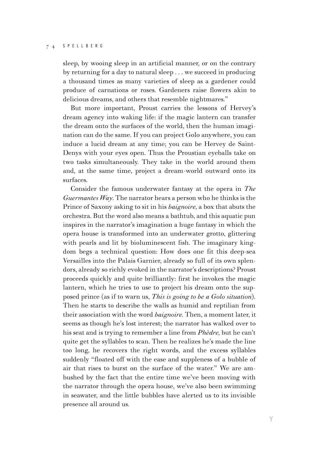sleep, by wooing sleep in an artificial manner, or on the contrary by returning for a day to natural sleep . . . we succeed in producing a thousand times as many varieties of sleep as a gardener could produce of carnations or roses. Gardeners raise flowers akin to delicious dreams, and others that resemble nightmares.''

But more important, Proust carries the lessons of Hervey's dream agency into waking life: if the magic lantern can transfer the dream onto the surfaces of the world, then the human imagination can do the same. If you can project Golo anywhere, you can induce a lucid dream at any time; you can be Hervey de Saint-Denys with your eyes open. Thus the Proustian eyeballs take on two tasks simultaneously. They take in the world around them and, at the same time, project a dream-world outward onto its surfaces.

Consider the famous underwater fantasy at the opera in *The Guermantes Way.* The narrator hears a person who he thinks is the Prince of Saxony asking to sit in his *baignoire,* a box that abuts the orchestra. But the word also means a bathtub, and this aquatic pun inspires in the narrator's imagination a huge fantasy in which the opera house is transformed into an underwater grotto, glittering with pearls and lit by bioluminescent fish. The imaginary kingdom begs a technical question: How does one fit this deep-sea Versailles into the Palais Garnier, already so full of its own splendors, already so richly evoked in the narrator's descriptions? Proust proceeds quickly and quite brilliantly: first he invokes the magic lantern, which he tries to use to project his dream onto the supposed prince (as if to warn us, *This is going to be a Golo situation*). Then he starts to describe the walls as humid and reptilian from their association with the word *baignoire.* Then, a moment later, it seems as though he's lost interest; the narrator has walked over to his seat and is trying to remember a line from *Phèdre,* but he can't quite get the syllables to scan. Then he realizes he's made the line too long, he recovers the right words, and the excess syllables suddenly "floated off with the ease and suppleness of a bubble of air that rises to burst on the surface of the water.'' We are ambushed by the fact that the entire time we've been moving with the narrator through the opera house, we've also been swimming in seawater, and the little bubbles have alerted us to its invisible presence all around us.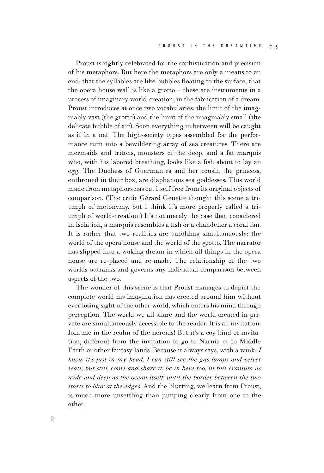Proust is rightly celebrated for the sophistication and precision of his metaphors. But here the metaphors are only a means to an end: that the syllables are like bubbles floating to the surface, that the opera house wall is like a grotto  $-$  these are instruments in a process of imaginary world-creation, in the fabrication of a dream. Proust introduces at once two vocabularies: the limit of the imaginably vast (the grotto) and the limit of the imaginably small (the delicate bubble of air). Soon everything in between will be caught as if in a net. The high-society types assembled for the performance turn into a bewildering array of sea creatures. There are mermaids and tritons, monsters of the deep, and a fat marquis who, with his labored breathing, looks like a fish about to lay an egg. The Duchess of Guermantes and her cousin the princess, enthroned in their box, are diaphanous sea goddesses. This world made from metaphors has cut itself free from its original objects of comparison. (The critic Gérard Genette thought this scene a triumph of metonymy, but I think it's more properly called a triumph of world-creation.) It's not merely the case that, considered in isolation, a marquis resembles a fish or a chandelier a coral fan. It is rather that two realities are unfolding simultaneously: the world of the opera house and the world of the grotto. The narrator has slipped into a waking dream in which all things in the opera house are re-placed and re-made. The relationship of the two worlds outranks and governs any individual comparison between aspects of the two.

The wonder of this scene is that Proust manages to depict the complete world his imagination has erected around him without ever losing sight of the other world, which enters his mind through perception. The world we all share and the world created in private are simultaneously accessible to the reader. It is an invitation: Join me in the realm of the nereids! But it's a coy kind of invitation, different from the invitation to go to Narnia or to Middle Earth or other fantasy lands. Because it always says, with a wink: *I know it's just in my head, I can still see the gas lamps and velvet seats, but still, come and share it, be in here too, in this cranium as wide and deep as the ocean itself, until the border between the two starts to blur at the edges*. And the blurring, we learn from Proust, is much more unsettling than jumping clearly from one to the other.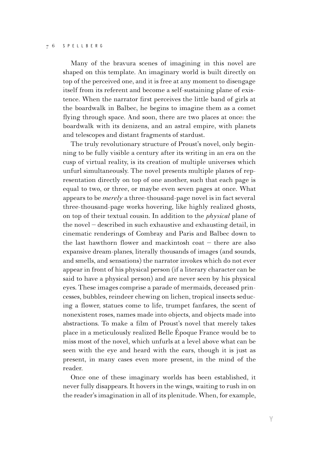Many of the bravura scenes of imagining in this novel are shaped on this template. An imaginary world is built directly on top of the perceived one, and it is free at any moment to disengage itself from its referent and become a self-sustaining plane of existence. When the narrator first perceives the little band of girls at the boardwalk in Balbec, he begins to imagine them as a comet flying through space. And soon, there are two places at once: the boardwalk with its denizens, and an astral empire, with planets and telescopes and distant fragments of stardust.

The truly revolutionary structure of Proust's novel, only beginning to be fully visible a century after its writing in an era on the cusp of virtual reality, is its creation of multiple universes which unfurl simultaneously. The novel presents multiple planes of representation directly on top of one another, such that each page is equal to two, or three, or maybe even seven pages at once. What appears to be *merely* a three-thousand-page novel is in fact several three-thousand-page works hovering, like highly realized ghosts, on top of their textual cousin. In addition to the *physical* plane of the novel – described in such exhaustive and exhausting detail, in cinematic renderings of Combray and Paris and Balbec down to the last hawthorn flower and mackintosh coat – there are also expansive dream-planes, literally thousands of images (and sounds, and smells, and sensations) the narrator invokes which do not ever appear in front of his physical person (if a literary character can be said to have a physical person) and are never seen by his physical eyes. These images comprise a parade of mermaids, deceased princesses, bubbles, reindeer chewing on lichen, tropical insects seducing a flower, statues come to life, trumpet fanfares, the scent of nonexistent roses, names made into objects, and objects made into abstractions. To make a film of Proust's novel that merely takes place in a meticulously realized Belle Époque France would be to miss most of the novel, which unfurls at a level above what can be seen with the eye and heard with the ears, though it is just as present, in many cases even more present, in the mind of the reader.

Once one of these imaginary worlds has been established, it never fully disappears. It hovers in the wings, waiting to rush in on the reader's imagination in all of its plenitude. When, for example,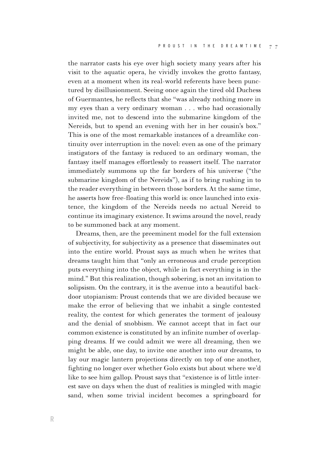the narrator casts his eye over high society many years after his visit to the aquatic opera, he vividly invokes the grotto fantasy, even at a moment when its real-world referents have been punctured by disillusionment. Seeing once again the tired old Duchess of Guermantes, he reflects that she ''was already nothing more in my eyes than a very ordinary woman . . . who had occasionally invited me, not to descend into the submarine kingdom of the Nereids, but to spend an evening with her in her cousin's box.'' This is one of the most remarkable instances of a dreamlike continuity over interruption in the novel: even as one of the primary instigators of the fantasy is reduced to an ordinary woman, the fantasy itself manages effortlessly to reassert itself. The narrator immediately summons up the far borders of his universe ("the submarine kingdom of the Nereids''), as if to bring rushing in to the reader everything in between those borders. At the same time, he asserts how free-floating this world is: once launched into existence, the kingdom of the Nereids needs no actual Nereid to continue its imaginary existence. It swims around the novel, ready to be summoned back at any moment.

Dreams, then, are the preeminent model for the full extension of subjectivity, for subjectivity as a presence that disseminates out into the entire world. Proust says as much when he writes that dreams taught him that ''only an erroneous and crude perception puts everything into the object, while in fact everything is in the mind.'' But this realization, though sobering, is not an invitation to solipsism. On the contrary, it is the avenue into a beautiful backdoor utopianism: Proust contends that we are divided because we make the error of believing that we inhabit a single contested reality, the contest for which generates the torment of jealousy and the denial of snobbism. We cannot accept that in fact our common existence is constituted by an infinite number of overlapping dreams. If we could admit we were all dreaming, then we might be able, one day, to invite one another into our dreams, to lay our magic lantern projections directly on top of one another, fighting no longer over whether Golo exists but about where we'd like to see him gallop. Proust says that ''existence is of little interest save on days when the dust of realities is mingled with magic sand, when some trivial incident becomes a springboard for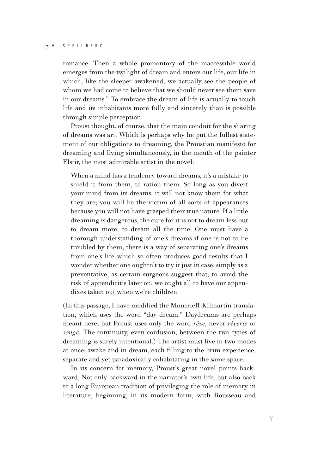romance. Then a whole promontory of the inaccessible world emerges from the twilight of dream and enters our life, our life in which, like the sleeper awakened, we actually see the people of whom we had come to believe that we should never see them save in our dreams.'' To embrace the dream of life is actually to touch life and its inhabitants more fully and sincerely than is possible through simple perception.

Proust thought, of course, that the main conduit for the sharing of dreams was art. Which is perhaps why he put the fullest statement of our obligations to dreaming, the Proustian manifesto for dreaming and living simultaneously, in the mouth of the painter Elstir, the most admirable artist in the novel:

When a mind has a tendency toward dreams, it's a mistake to shield it from them, to ration them. So long as you divert your mind from its dreams, it will not know them for what they are; you will be the victim of all sorts of appearances because you will not have grasped their true nature. If a little dreaming is dangerous, the cure for it is not to dream less but to dream more, to dream all the time. One must have a thorough understanding of one's dreams if one is not to be troubled by them; there is a way of separating one's dreams from one's life which so often produces good results that I wonder whether one oughtn't to try it just in case, simply as a preventative, as certain surgeons suggest that, to avoid the risk of appendicitis later on, we ought all to have our appendixes taken out when we're children.

 $($ In this passage, I have modified the Moncrieff-Kilmartin translation, which uses the word ''day-dream.'' Daydreams are perhaps meant here, but Proust uses only the word *rêve,* never *rêverie* or *songe.* The continuity, even confusion, between the two types of dreaming is surely intentional.) The artist must live in two modes at once: awake and in dream, each filling to the brim experience, separate and yet paradoxically cohabitating in the same space.

In its concern for memory, Proust's great novel points backward. Not only backward in the narrator's own life, but also back to a long European tradition of privileging the role of memory in literature, beginning, in its modern form, with Rousseau and